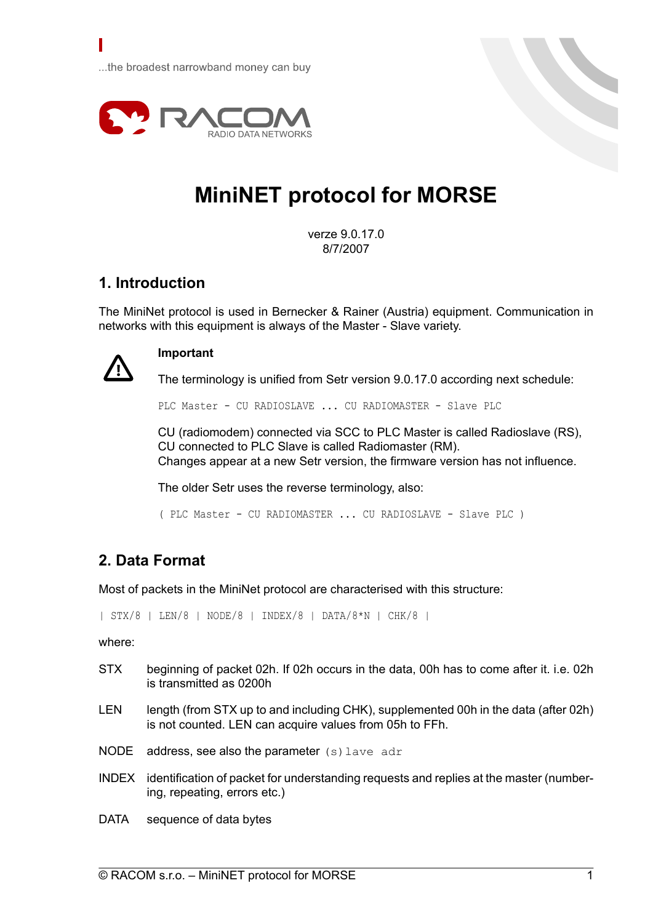...the broadest narrowband money can buy



# **MiniNET protocol for MORSE**

verze 9.0.17.0 8/7/2007

# **1. Introduction**

The MiniNet protocol is used in Bernecker & Rainer (Austria) equipment. Communication in networks with this equipment is always of the Master - Slave variety.



П

## **Important**

The terminology is unified from Setr version 9.0.17.0 according next schedule:

PLC Master - CU RADIOSLAVE ... CU RADIOMASTER - Slave PLC

CU (radiomodem) connected via SCC to PLC Master is called Radioslave (RS), CU connected to PLC Slave is called Radiomaster (RM). Changes appear at a new Setr version, the firmware version has not influence.

The older Setr uses the reverse terminology, also:

( PLC Master - CU RADIOMASTER ... CU RADIOSLAVE - Slave PLC )

# **2. Data Format**

Most of packets in the MiniNet protocol are characterised with this structure:

| STX/8 | LEN/8 | NODE/8 | INDEX/8 | DATA/8\*N | CHK/8 |

where:

- STX beginning of packet 02h. If 02h occurs in the data, 00h has to come after it. i.e. 02h is transmitted as 0200h
- LEN length (from STX up to and including CHK), supplemented 00h in the data (after 02h) is not counted. LEN can acquire values from 05h to FFh.
- NODE address, see also the parameter (s) lave adr
- INDEX identification of packet for understanding requests and replies at the master (numbering, repeating, errors etc.)

DATA sequence of data bytes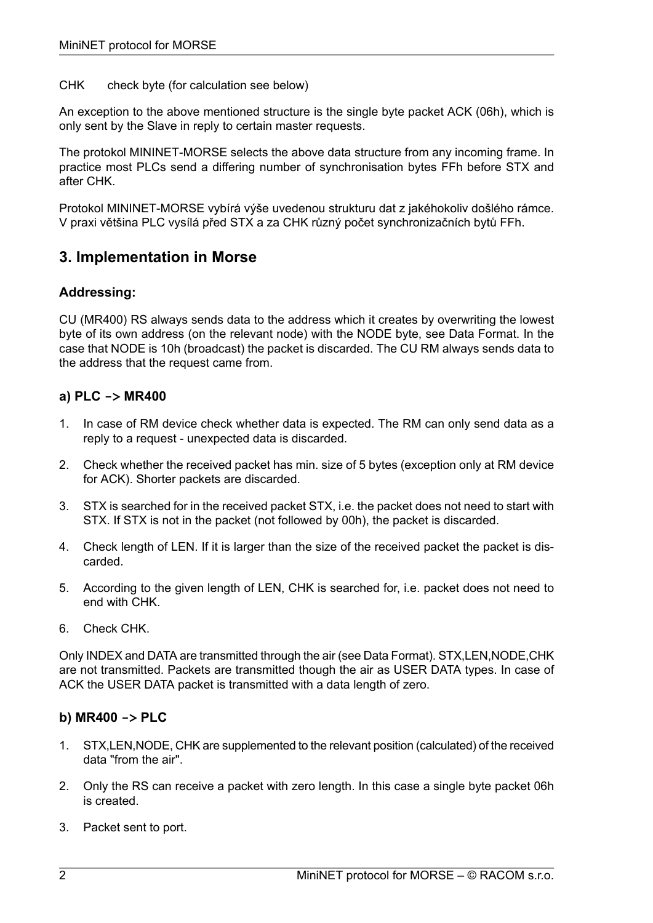CHK check byte (for calculation see below)

An exception to the above mentioned structure is the single byte packet ACK (06h), which is only sent by the Slave in reply to certain master requests.

The protokol MININET-MORSE selects the above data structure from any incoming frame. In practice most PLCs send a differing number of synchronisation bytes FFh before STX and after CHK.

Protokol MININET-MORSE vybírá výše uvedenou strukturu dat z jakéhokoliv došlého rámce. V praxi většina PLC vysílá před STX a za CHK různý počet synchronizačních bytů FFh.

## **3. Implementation in Morse**

#### **Addressing:**

CU (MR400) RS always sends data to the address which it creates by overwriting the lowest byte of its own address (on the relevant node) with the NODE byte, see Data Format. In the case that NODE is 10h (broadcast) the packet is discarded. The CU RM always sends data to the address that the request came from.

#### **a) PLC -> MR400**

- 1. In case of RM device check whether data is expected. The RM can only send data as a reply to a request - unexpected data is discarded.
- 2. Check whether the received packet has min. size of 5 bytes (exception only at RM device for ACK). Shorter packets are discarded.
- 3. STX is searched for in the received packet STX, i.e. the packet does not need to start with STX. If STX is not in the packet (not followed by 00h), the packet is discarded.
- 4. Check length of LEN. If it is larger than the size of the received packet the packet is discarded.
- 5. According to the given length of LEN, CHK is searched for, i.e. packet does not need to end with CHK.
- 6. Check CHK.

Only INDEX and DATA are transmitted through the air (see Data Format). STX,LEN,NODE,CHK are not transmitted. Packets are transmitted though the air as USER DATA types. In case of ACK the USER DATA packet is transmitted with a data length of zero.

#### **b) MR400 -> PLC**

- 1. STX,LEN,NODE, CHK are supplemented to the relevant position (calculated) of the received data "from the air".
- 2. Only the RS can receive a packet with zero length. In this case a single byte packet 06h is created.
- 3. Packet sent to port.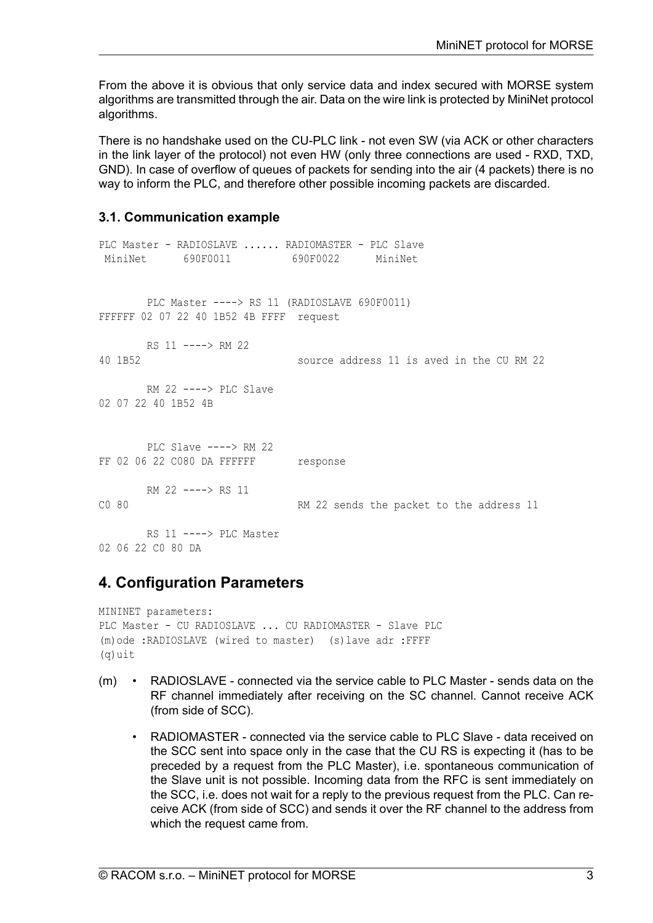From the above it is obvious that only service data and index secured with MORSE system algorithms are transmitted through the air. Data on the wire link is protected by MiniNet protocol algorithms.

There is no handshake used on the CU-PLC link - not even SW (via ACK or other characters in the link layer of the protocol) not even HW (only three connections are used - RXD, TXD, GND). In case of overflow of queues of packets for sending into the air (4 packets) there is no way to inform the PLC, and therefore other possible incoming packets are discarded.

#### **3.1. Communication example**

```
PLC Master - RADIOSLAVE ...... RADIOMASTER - PLC Slave
MiniNet 690F0011 690F0022 MiniNet
      PLC Master ----> RS 11 (RADIOSLAVE 690F0011)
FFFFFF 02 07 22 40 1B52 4B FFFF request
      RS 11 ----> RM 22
40 1B52 source address 11 is aved in the CU RM 22
      RM 22 ----> PLC Slave
02 07 22 40 1B52 4B
      PLC Slave ---> RM 22
FF 02 06 22 C080 DA FFFFFF response
      RM 22 ----> RS 11
C0 80 RM 22 sends the packet to the address 11
      RS 11 ----> PLC Master
02 06 22 C0 80 DA
```
# **4. Configuration Parameters**

```
MININET parameters:
PLC Master - CU RADIOSLAVE ... CU RADIOMASTER - Slave PLC
(m)ode :RADIOSLAVE (wired to master) (s)lave adr :FFFF
(q)uit
```
- (m) RADIOSLAVE connected via the service cable to PLC Master sends data on the RF channel immediately after receiving on the SC channel. Cannot receive ACK (from side of SCC).
	- RADIOMASTER connected via the service cable to PLC Slave data received on the SCC sent into space only in the case that the CU RS is expecting it (has to be preceded by a request from the PLC Master), i.e. spontaneous communication of the Slave unit is not possible. Incoming data from the RFC is sent immediately on the SCC, i.e. does not wait for a reply to the previous request from the PLC. Can receive ACK (from side of SCC) and sends it over the RF channel to the address from which the request came from.